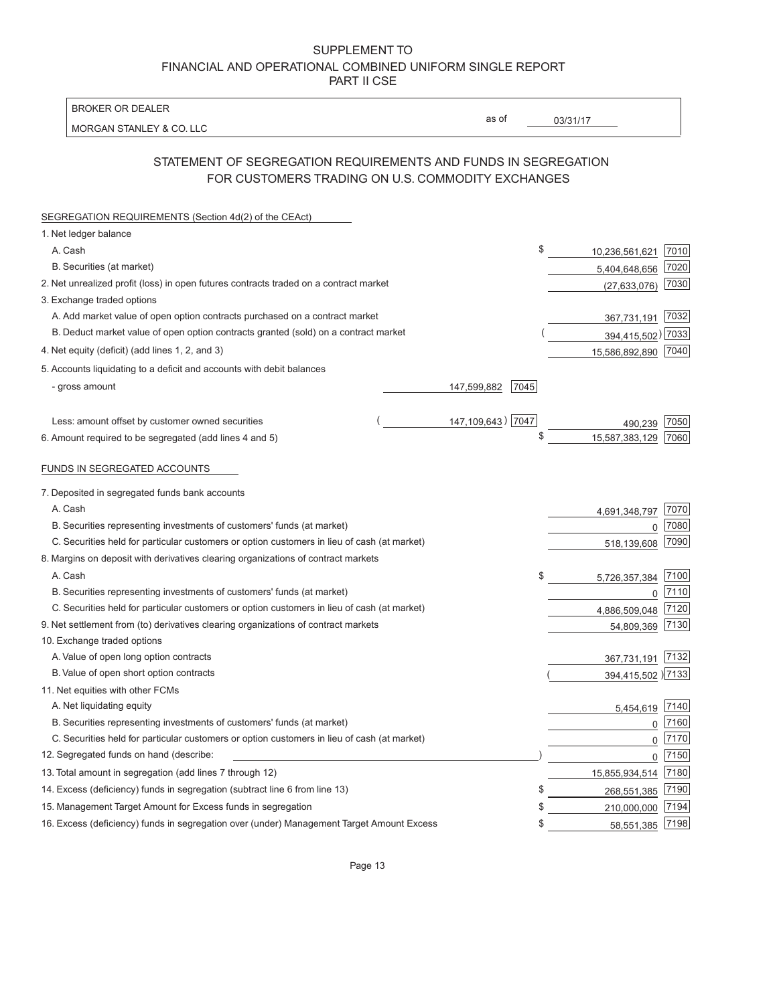| <b>BROKER OR DEALER</b>                                                                                             |                     |          |                    |      |
|---------------------------------------------------------------------------------------------------------------------|---------------------|----------|--------------------|------|
| <b>MORGAN STANLEY &amp; CO. LLC</b>                                                                                 | as of               | 03/31/17 |                    |      |
| STATEMENT OF SEGREGATION REQUIREMENTS AND FUNDS IN SEGREGATION<br>FOR CUSTOMERS TRADING ON U.S. COMMODITY EXCHANGES |                     |          |                    |      |
| SEGREGATION REQUIREMENTS (Section 4d(2) of the CEAct)                                                               |                     |          |                    |      |
| 1. Net ledger balance                                                                                               |                     |          |                    |      |
| A. Cash                                                                                                             |                     | \$       | 10,236,561,621     | 7010 |
| B. Securities (at market)                                                                                           |                     |          | 5,404,648,656      | 7020 |
| 2. Net unrealized profit (loss) in open futures contracts traded on a contract market                               |                     |          | (27, 633, 076)     | 7030 |
| 3. Exchange traded options                                                                                          |                     |          |                    |      |
| A. Add market value of open option contracts purchased on a contract market                                         |                     |          | 367,731,191        | 7032 |
| B. Deduct market value of open option contracts granted (sold) on a contract market                                 |                     |          | 394,415,502)       | 7033 |
| 4. Net equity (deficit) (add lines 1, 2, and 3)                                                                     |                     |          | 15,586,892,890     | 7040 |
| 5. Accounts liquidating to a deficit and accounts with debit balances                                               |                     |          |                    |      |
| - gross amount                                                                                                      | 7045<br>147,599,882 |          |                    |      |
| Less: amount offset by customer owned securities                                                                    | 147, 109, 643) 7047 |          | 490,239            | 7050 |
| 6. Amount required to be segregated (add lines 4 and 5)                                                             |                     | \$       | 15,587,383,129     | 7060 |
| FUNDS IN SEGREGATED ACCOUNTS                                                                                        |                     |          |                    |      |
| 7. Deposited in segregated funds bank accounts                                                                      |                     |          |                    |      |
| A. Cash                                                                                                             |                     |          | 4,691,348,797      | 7070 |
| B. Securities representing investments of customers' funds (at market)                                              |                     |          | 0                  | 7080 |
| C. Securities held for particular customers or option customers in lieu of cash (at market)                         |                     |          | 518,139,608        | 7090 |
| 8. Margins on deposit with derivatives clearing organizations of contract markets                                   |                     |          |                    |      |
| A. Cash                                                                                                             |                     | \$       | 5,726,357,384      | 7100 |
| B. Securities representing investments of customers' funds (at market)                                              |                     |          | 0                  | 7110 |
| C. Securities held for particular customers or option customers in lieu of cash (at market)                         |                     |          | 4,886,509,048      | 7120 |
| 9. Net settlement from (to) derivatives clearing organizations of contract markets                                  |                     |          | 54,809,369         | 7130 |
| 10. Exchange traded options                                                                                         |                     |          |                    |      |
| A. Value of open long option contracts                                                                              |                     |          | 367,731,191        | 7132 |
| B. Value of open short option contracts                                                                             |                     |          | 394,415,502 ) 7133 |      |
| 11. Net equities with other FCMs                                                                                    |                     |          |                    |      |
| A. Net liquidating equity                                                                                           |                     |          | 5,454,619          | 7140 |
| B. Securities representing investments of customers' funds (at market)                                              |                     |          | 0                  | 7160 |
| C. Securities held for particular customers or option customers in lieu of cash (at market)                         |                     |          | 0                  | 7170 |
| 12. Segregated funds on hand (describe:                                                                             |                     |          | 0                  | 7150 |
| 13. Total amount in segregation (add lines 7 through 12)                                                            |                     |          | 15,855,934,514     | 7180 |
| 14. Excess (deficiency) funds in segregation (subtract line 6 from line 13)                                         |                     | S        | 268,551,385        | 7190 |
| 15. Management Target Amount for Excess funds in segregation                                                        |                     | \$       | 210,000,000        | 7194 |
| 16. Excess (deficiency) funds in segregation over (under) Management Target Amount Excess                           |                     | \$       | 58,551,385 7198    |      |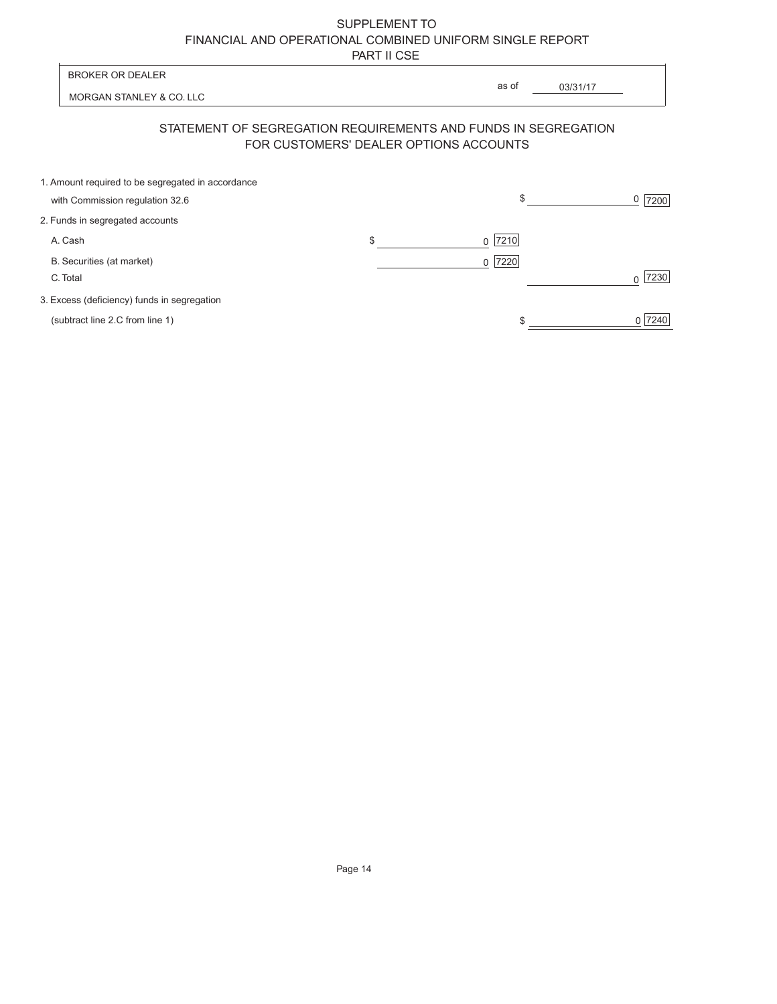| <b>BROKER OR DEALER</b>                                                                                  | as of                  |    |          |           |
|----------------------------------------------------------------------------------------------------------|------------------------|----|----------|-----------|
| MORGAN STANLEY & CO. LLC                                                                                 |                        |    | 03/31/17 |           |
| STATEMENT OF SEGREGATION REQUIREMENTS AND FUNDS IN SEGREGATION<br>FOR CUSTOMERS' DEALER OPTIONS ACCOUNTS |                        |    |          |           |
| 1. Amount required to be segregated in accordance<br>with Commission regulation 32.6                     |                        | \$ |          | 0<br>7200 |
| 2. Funds in segregated accounts                                                                          |                        |    |          |           |
| A. Cash                                                                                                  | \$<br>7210<br>$\Omega$ |    |          |           |
| B. Securities (at market)<br>C. Total                                                                    | 7220<br>$\Omega$       |    |          | 7230      |
| 3. Excess (deficiency) funds in segregation                                                              |                        |    |          |           |
| (subtract line 2.C from line 1)                                                                          |                        | S  |          | 7240      |
|                                                                                                          |                        |    |          |           |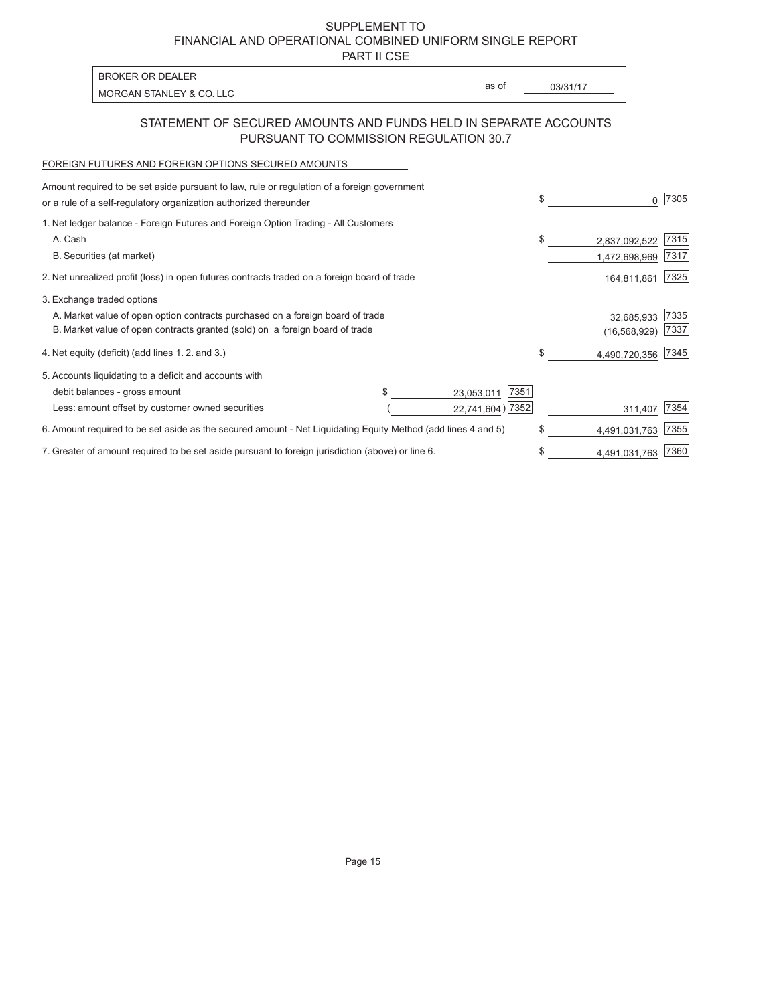PART II CSE

MORGAN STANLEY & CO. LLC **Example 2018** 2008 2014 2015 2016 2017 2018 2019 2017 2018 2019 2019 2019 2019 2019 20

as of

### STATEMENT OF SECURED AMOUNTS AND FUNDS HELD IN SEPARATE ACCOUNTS PURSUANT TO COMMISSION REGULATION 30.7

### FOREIGN FUTURES AND FOREIGN OPTIONS SECURED AMOUNTS

BROKER OR DEALER

| Amount required to be set aside pursuant to law, rule or regulation of a foreign government                  |  |                    |     |                |      |
|--------------------------------------------------------------------------------------------------------------|--|--------------------|-----|----------------|------|
| or a rule of a self-regulatory organization authorized thereunder                                            |  |                    |     |                | 7305 |
| 1. Net ledger balance - Foreign Futures and Foreign Option Trading - All Customers                           |  |                    |     |                |      |
| A. Cash                                                                                                      |  |                    | \$  | 2,837,092,522  | 7315 |
| B. Securities (at market)                                                                                    |  |                    |     | 1,472,698,969  | 7317 |
| 2. Net unrealized profit (loss) in open futures contracts traded on a foreign board of trade                 |  |                    |     | 164,811,861    | 7325 |
| 3. Exchange traded options                                                                                   |  |                    |     |                |      |
| A. Market value of open option contracts purchased on a foreign board of trade                               |  |                    |     | 32,685,933     | 7335 |
| B. Market value of open contracts granted (sold) on a foreign board of trade                                 |  |                    |     | (16, 568, 929) | 7337 |
| 4. Net equity (deficit) (add lines 1.2. and 3.)                                                              |  |                    | \$. | 4,490,720,356  | 7345 |
| 5. Accounts liquidating to a deficit and accounts with                                                       |  |                    |     |                |      |
| debit balances - gross amount                                                                                |  | 7351<br>23,053,011 |     |                |      |
| Less: amount offset by customer owned securities                                                             |  | 22,741,604) 7352   |     | 311,407        | 7354 |
| 6. Amount required to be set aside as the secured amount - Net Liquidating Equity Method (add lines 4 and 5) |  |                    | \$  | 4,491,031,763  | 7355 |
| 7. Greater of amount required to be set aside pursuant to foreign jurisdiction (above) or line 6.            |  |                    |     | 4,491,031,763  | 7360 |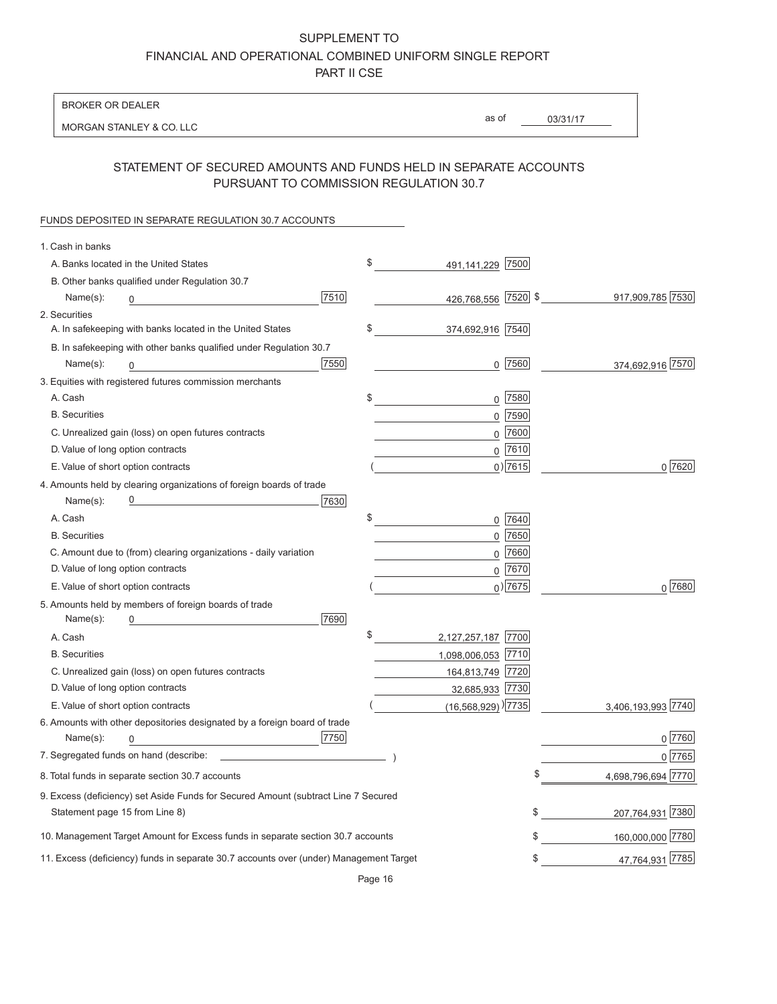BROKER OR DEALER

MORGAN STANLEY & CO. LLC

as of

03/31/17

# STATEMENT OF SECURED AMOUNTS AND FUNDS HELD IN SEPARATE ACCOUNTS PURSUANT TO COMMISSION REGULATION 30.7

#### FUNDS DEPOSITED IN SEPARATE REGULATION 30.7 ACCOUNTS

| 1. Cash in banks                                                                       |      |                                    |             |                    |
|----------------------------------------------------------------------------------------|------|------------------------------------|-------------|--------------------|
| A. Banks located in the United States                                                  |      | \$<br>491,141,229 7500             |             |                    |
| B. Other banks qualified under Regulation 30.7                                         |      |                                    |             |                    |
| Name(s):                                                                               | 7510 | 426,768,556 7520 \$                |             | 917,909,785 7530   |
| 2. Securities                                                                          |      |                                    |             |                    |
| A. In safekeeping with banks located in the United States                              |      | \$<br>374,692,916 7540             |             |                    |
| B. In safekeeping with other banks qualified under Regulation 30.7                     |      |                                    |             |                    |
| Name(s):<br>0                                                                          | 7550 |                                    | $0$ 7560    | 374,692,916 7570   |
| 3. Equities with registered futures commission merchants                               |      |                                    |             |                    |
| A. Cash                                                                                |      | \$                                 | $0$ 7580    |                    |
| <b>B.</b> Securities                                                                   |      |                                    | $0$ 7590    |                    |
| C. Unrealized gain (loss) on open futures contracts                                    |      |                                    | $0$ 7600    |                    |
| D. Value of long option contracts                                                      |      |                                    | $0$ 7610    |                    |
| E. Value of short option contracts                                                     |      |                                    | $0)$ 7615   | 0 7620             |
| 4. Amounts held by clearing organizations of foreign boards of trade                   |      |                                    |             |                    |
| Name(s):                                                                               | 7630 |                                    |             |                    |
| A. Cash                                                                                |      | \$<br>0                            | 7640        |                    |
| <b>B.</b> Securities                                                                   |      |                                    | $0$ 7650    |                    |
| C. Amount due to (from) clearing organizations - daily variation                       |      |                                    | $0$ 7660    |                    |
| D. Value of long option contracts                                                      |      |                                    | $0$ 7670    |                    |
| E. Value of short option contracts                                                     |      |                                    | $_0$ ) 7675 | 0 7680             |
| 5. Amounts held by members of foreign boards of trade                                  |      |                                    |             |                    |
| Name(s):<br>0                                                                          | 7690 |                                    |             |                    |
| A. Cash                                                                                |      | \$<br>2,127,257,187 7700           |             |                    |
| <b>B.</b> Securities                                                                   |      | 1,098,006,053 7710                 |             |                    |
| C. Unrealized gain (loss) on open futures contracts                                    |      | 164,813,749 7720                   |             |                    |
| D. Value of long option contracts                                                      |      | 32,685,933 7730                    |             |                    |
| E. Value of short option contracts                                                     |      | $(16,568,929)$ <sup>)</sup> [7735] |             | 3,406,193,993 7740 |
| 6. Amounts with other depositories designated by a foreign board of trade              |      |                                    |             |                    |
| Name(s):<br>0                                                                          | 7750 |                                    |             | $0$ 7760           |
| 7. Segregated funds on hand (describe: __                                              |      |                                    |             | 0 7765             |
| 8. Total funds in separate section 30.7 accounts                                       |      |                                    |             | 4,698,796,694 7770 |
| 9. Excess (deficiency) set Aside Funds for Secured Amount (subtract Line 7 Secured     |      |                                    |             |                    |
| Statement page 15 from Line 8)                                                         |      |                                    | \$          | 207,764,931 7380   |
| 10. Management Target Amount for Excess funds in separate section 30.7 accounts        |      |                                    | \$          | 160,000,000 7780   |
| 11. Excess (deficiency) funds in separate 30.7 accounts over (under) Management Target |      |                                    | \$          | 47,764,931 7785    |